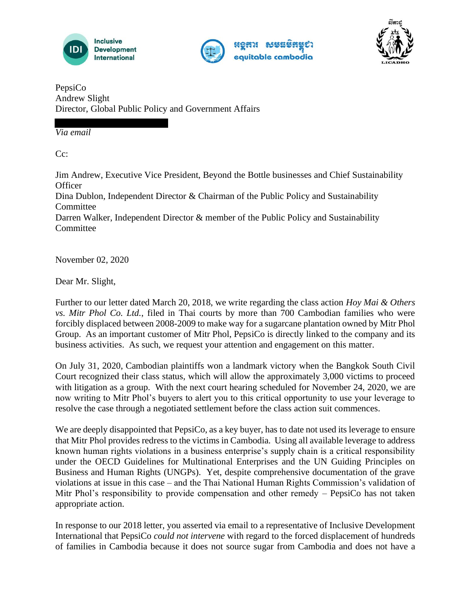





PepsiCo Andrew Slight Director, Global Public Policy and Government Affairs

*Via email*

 $Cc$ :

Jim Andrew, Executive Vice President, Beyond the Bottle businesses and Chief Sustainability **Officer** Dina Dublon, Independent Director & Chairman of the Public Policy and Sustainability Committee Darren Walker, Independent Director & member of the Public Policy and Sustainability **Committee** 

November 02, 2020

Dear Mr. Slight,

Further to our letter dated March 20, 2018, we write regarding the class action *Hoy Mai & Others vs. Mitr Phol Co. Ltd.*, filed in Thai courts by more than 700 Cambodian families who were forcibly displaced between 2008-2009 to make way for a sugarcane plantation owned by Mitr Phol Group. As an important customer of Mitr Phol, PepsiCo is directly linked to the company and its business activities. As such, we request your attention and engagement on this matter.

On July 31, 2020, Cambodian plaintiffs won a landmark victory when the Bangkok South Civil Court recognized their class status, which will allow the approximately 3,000 victims to proceed with litigation as a group. With the next court hearing scheduled for November 24, 2020, we are now writing to Mitr Phol's buyers to alert you to this critical opportunity to use your leverage to resolve the case through a negotiated settlement before the class action suit commences.

We are deeply disappointed that PepsiCo, as a key buyer, has to date not used its leverage to ensure that Mitr Phol provides redress to the victims in Cambodia. Using all available leverage to address known human rights violations in a business enterprise's supply chain is a critical responsibility under the OECD Guidelines for Multinational Enterprises and the UN Guiding Principles on Business and Human Rights (UNGPs). Yet, despite comprehensive documentation of the grave violations at issue in this case – and the Thai National Human Rights Commission's validation of Mitr Phol's responsibility to provide compensation and other remedy – PepsiCo has not taken appropriate action.

In response to our 2018 letter, you asserted via email to a representative of Inclusive Development International that PepsiCo *could not intervene* with regard to the forced displacement of hundreds of families in Cambodia because it does not source sugar from Cambodia and does not have a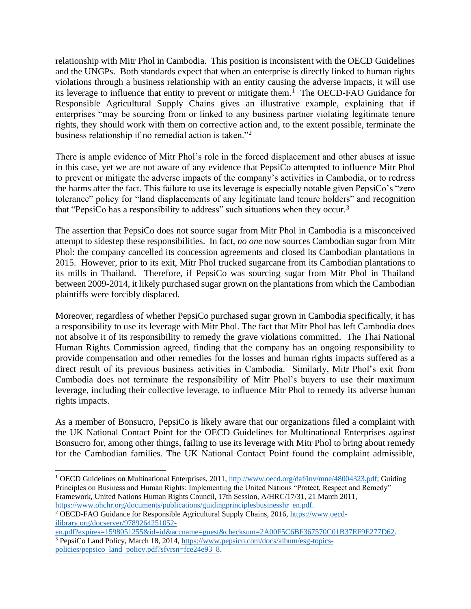relationship with Mitr Phol in Cambodia. This position is inconsistent with the OECD Guidelines and the UNGPs. Both standards expect that when an enterprise is directly linked to human rights violations through a business relationship with an entity causing the adverse impacts, it will use its leverage to influence that entity to prevent or mitigate them.<sup>1</sup> The OECD-FAO Guidance for Responsible Agricultural Supply Chains gives an illustrative example, explaining that if enterprises "may be sourcing from or linked to any business partner violating legitimate tenure rights, they should work with them on corrective action and, to the extent possible, terminate the business relationship if no remedial action is taken."<sup>2</sup>

There is ample evidence of Mitr Phol's role in the forced displacement and other abuses at issue in this case, yet we are not aware of any evidence that PepsiCo attempted to influence Mitr Phol to prevent or mitigate the adverse impacts of the company's activities in Cambodia, or to redress the harms after the fact. This failure to use its leverage is especially notable given PepsiCo's "zero tolerance" policy for "land displacements of any legitimate land tenure holders" and recognition that "PepsiCo has a responsibility to address" such situations when they occur.<sup>3</sup>

The assertion that PepsiCo does not source sugar from Mitr Phol in Cambodia is a misconceived attempt to sidestep these responsibilities. In fact, *no one* now sources Cambodian sugar from Mitr Phol: the company cancelled its concession agreements and closed its Cambodian plantations in 2015. However, prior to its exit, Mitr Phol trucked sugarcane from its Cambodian plantations to its mills in Thailand. Therefore, if PepsiCo was sourcing sugar from Mitr Phol in Thailand between 2009-2014, it likely purchased sugar grown on the plantations from which the Cambodian plaintiffs were forcibly displaced.

Moreover, regardless of whether PepsiCo purchased sugar grown in Cambodia specifically, it has a responsibility to use its leverage with Mitr Phol. The fact that Mitr Phol has left Cambodia does not absolve it of its responsibility to remedy the grave violations committed. The Thai National Human Rights Commission agreed, finding that the company has an ongoing responsibility to provide compensation and other remedies for the losses and human rights impacts suffered as a direct result of its previous business activities in Cambodia. Similarly, Mitr Phol's exit from Cambodia does not terminate the responsibility of Mitr Phol's buyers to use their maximum leverage, including their collective leverage, to influence Mitr Phol to remedy its adverse human rights impacts.

As a member of Bonsucro, PepsiCo is likely aware that our organizations filed a complaint with the UK National Contact Point for the OECD Guidelines for Multinational Enterprises against Bonsucro for, among other things, failing to use its leverage with Mitr Phol to bring about remedy for the Cambodian families. The UK National Contact Point found the complaint admissible,

<sup>&</sup>lt;sup>1</sup> OECD Guidelines on Multinational Enterprises, 2011, http://www.oecd.org/daf/inv/mne/48004323.pdf; Guiding Principles on Business and Human Rights: Implementing the United Nations "Protect, Respect and Remedy" Framework, United Nations Human Rights Council, 17th Session, A/HRC/17/31, 21 March 2011, https://www.ohchr.org/documents/publications/guidingprinciplesbusinesshr en.pdf.

<sup>2</sup> OECD-FAO Guidance for Responsible Agricultural Supply Chains, 2016, https://www.oecdilibrary.org/docserver/9789264251052-

en.pdf?expires=1598051255&id=id&accname=guest&checksum=2A00F5C6BF367570C01B37EF9E277D62. <sup>3</sup> PepsiCo Land Policy, March 18, 2014, https://www.pepsico.com/docs/album/esg-topicspolicies/pepsico land policy.pdf?sfvrsn=fce24e93 8.